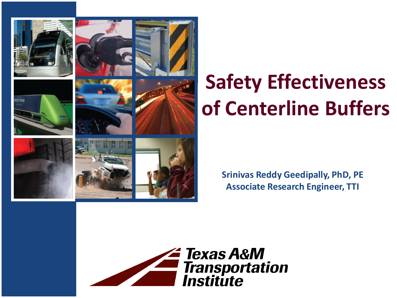

# **Safety Effectiveness of Centerline Buffers**

**Srinivas Reddy Geedipally, PhD, PE Associate Research Engineer, TTI**

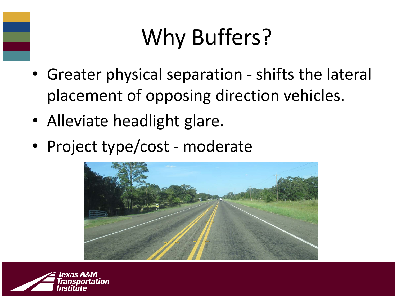# Why Buffers?

- Greater physical separation shifts the lateral placement of opposing direction vehicles.
- Alleviate headlight glare.
- Project type/cost moderate



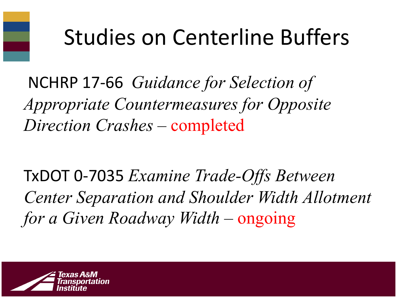### Studies on Centerline Buffers

NCHRP 17-66 *Guidance for Selection of Appropriate Countermeasures for Opposite Direction Crashes –* completed

TxDOT 0-7035 *Examine Trade-Offs Between Center Separation and Shoulder Width Allotment for a Given Roadway Width –* ongoing

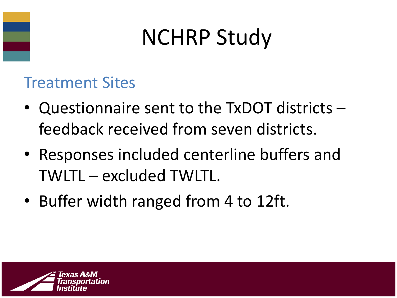#### Treatment Sites

- Questionnaire sent to the TxDOT districts feedback received from seven districts.
- Responses included centerline buffers and TWLTL – excluded TWLTL.
- Buffer width ranged from 4 to 12ft.

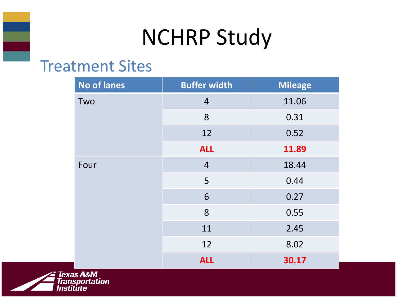#### Treatment Sites

| <b>No of lanes</b> | <b>Buffer width</b> | <b>Mileage</b> |
|--------------------|---------------------|----------------|
| Two                | $\overline{4}$      | 11.06          |
|                    | 8                   | 0.31           |
|                    | 12                  | 0.52           |
|                    | <b>ALL</b>          | 11.89          |
| Four               | $\overline{4}$      | 18.44          |
|                    | 5                   | 0.44           |
|                    | 6                   | 0.27           |
|                    | 8                   | 0.55           |
|                    | 11                  | 2.45           |
|                    | 12                  | 8.02           |
|                    | <b>ALL</b>          | 30.17          |

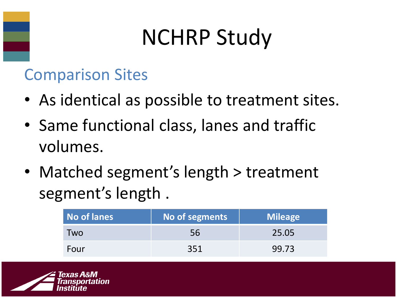#### Comparison Sites

- As identical as possible to treatment sites.
- Same functional class, lanes and traffic volumes.
- Matched segment's length > treatment segment's length .

| No of lanes | No of segments | <b>Mileage</b> |
|-------------|----------------|----------------|
| Two         | 56             | 25.05          |
| Four        | 351            | 99.73          |

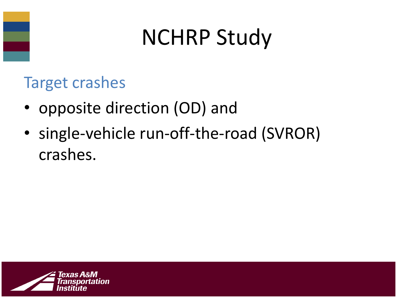#### Target crashes

- opposite direction (OD) and
- single-vehicle run-off-the-road (SVROR) crashes.

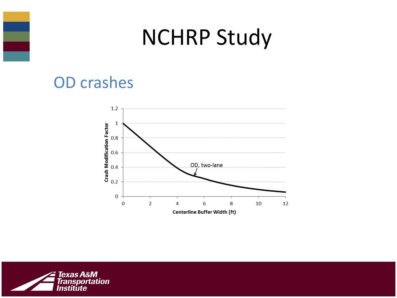#### OD crashes



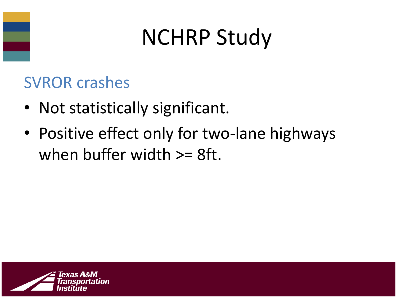#### SVROR crashes

- Not statistically significant.
- Positive effect only for two-lane highways when buffer width >= 8ft.

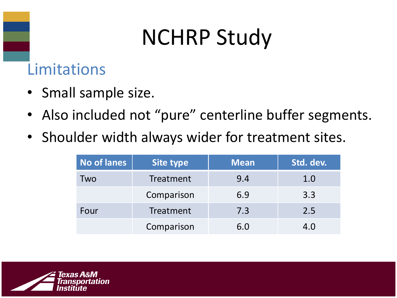#### Limitations

- Small sample size.
- Also included not "pure" centerline buffer segments.
- Shoulder width always wider for treatment sites.

| <b>No of lanes</b> | Site type  | <b>Mean</b> | Std. dev. |
|--------------------|------------|-------------|-----------|
| Two                | Treatment  | 9.4         | 1.0       |
|                    | Comparison | 6.9         | 3.3       |
| Four               | Treatment  | 7.3         | 2.5       |
|                    | Comparison | 6.0         | 4.0       |

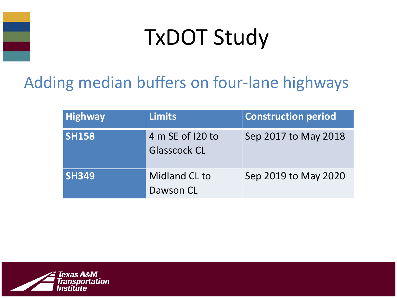#### Adding median buffers on four-lane highways

| <b>Highway</b> | <b>Limits</b>                           | <b>Construction period</b> |
|----------------|-----------------------------------------|----------------------------|
| <b>SH158</b>   | 4 m SE of 120 to<br><b>Glasscock CL</b> | Sep 2017 to May 2018       |
| <b>SH349</b>   | Midland CL to<br>Dawson CL              | Sep 2019 to May 2020       |

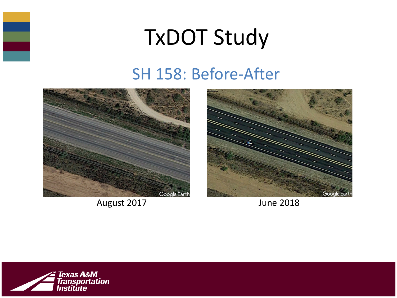#### SH 158: Before-After



August 2017 June 2018





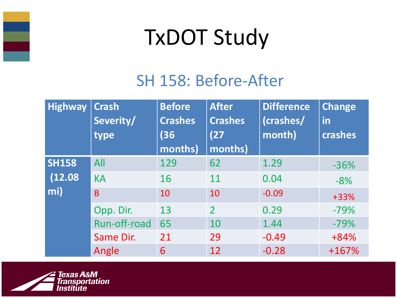#### SH 158: Before-After

| <b>Highway</b>                 | <b>Crash</b><br>Severity/<br>type | <b>Before</b><br><b>Crashes</b><br>(36)<br>months) | <b>After</b><br><b>Crashes</b><br>(27)<br>months) | <b>Difference</b><br>(crashes/<br>month) | <b>Change</b><br>in<br>crashes |
|--------------------------------|-----------------------------------|----------------------------------------------------|---------------------------------------------------|------------------------------------------|--------------------------------|
| <b>SH158</b><br>(12.08)<br>mi) | All                               | 129                                                | 62                                                | 1.29                                     | $-36%$                         |
|                                | <b>KA</b>                         | 16                                                 | 11                                                | 0.04                                     | $-8%$                          |
|                                | B                                 | 10                                                 | 10                                                | $-0.09$                                  | $+33%$                         |
|                                | Opp. Dir.                         | 13                                                 | $\overline{\phantom{a}}$                          | 0.29                                     | $-79%$                         |
|                                | Run-off-road                      | 65                                                 | 10                                                | 1.44                                     | $-79%$                         |
|                                | Same Dir.                         | 21                                                 | 29                                                | $-0.49$                                  | $+84%$                         |
|                                | Angle                             | 6                                                  | 12                                                | $-0.28$                                  | $+167%$                        |

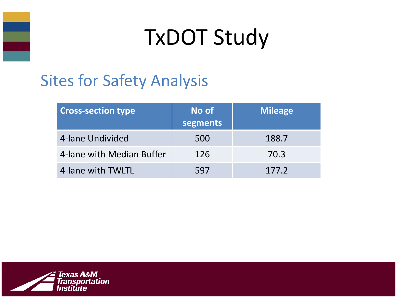### Sites for Safety Analysis

| <b>Cross-section type</b> | No of<br>segments | <b>Mileage</b> |
|---------------------------|-------------------|----------------|
| 4-lane Undivided          | 500               | 188.7          |
| 4-lane with Median Buffer | 126               | 70.3           |
| 4-lane with TWLTL         | 597               | 177.2          |

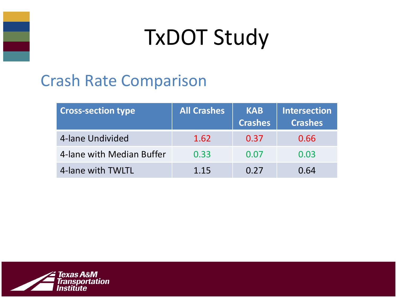#### Crash Rate Comparison

| <b>Cross-section type</b> | <b>All Crashes</b> | <b>KAB</b><br><b>Crashes</b> | <b>Intersection</b><br><b>Crashes</b> |
|---------------------------|--------------------|------------------------------|---------------------------------------|
| 4-lane Undivided          | 1.62               | 0.37                         | 0.66                                  |
| 4-lane with Median Buffer | 0.33               | 0.07                         | 0.03                                  |
| 4-lane with TWLTL         | 1.15               | 0.27                         | 0.64                                  |